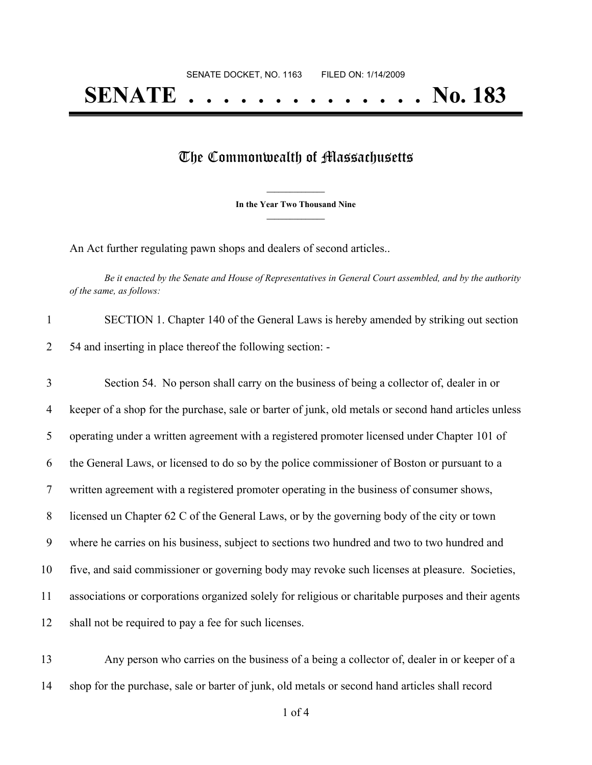## **SENATE . . . . . . . . . . . . . . No. 183**

## The Commonwealth of Massachusetts

**\_\_\_\_\_\_\_\_\_\_\_\_\_\_\_ In the Year Two Thousand Nine \_\_\_\_\_\_\_\_\_\_\_\_\_\_\_**

An Act further regulating pawn shops and dealers of second articles..

Be it enacted by the Senate and House of Representatives in General Court assembled, and by the authority *of the same, as follows:*

| SECTION 1. Chapter 140 of the General Laws is hereby amended by striking out section |
|--------------------------------------------------------------------------------------|
| 54 and inserting in place thereof the following section: -                           |

 Section 54. No person shall carry on the business of being a collector of, dealer in or keeper of a shop for the purchase, sale or barter of junk, old metals or second hand articles unless operating under a written agreement with a registered promoter licensed under Chapter 101 of the General Laws, or licensed to do so by the police commissioner of Boston or pursuant to a written agreement with a registered promoter operating in the business of consumer shows, licensed un Chapter 62 C of the General Laws, or by the governing body of the city or town where he carries on his business, subject to sections two hundred and two to two hundred and five, and said commissioner or governing body may revoke such licenses at pleasure. Societies, associations or corporations organized solely for religious or charitable purposes and their agents shall not be required to pay a fee for such licenses.

 Any person who carries on the business of a being a collector of, dealer in or keeper of a shop for the purchase, sale or barter of junk, old metals or second hand articles shall record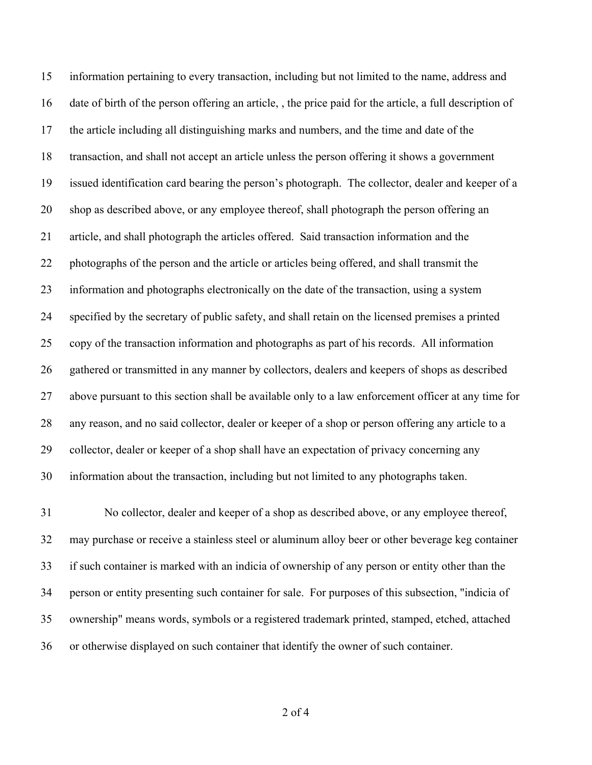information pertaining to every transaction, including but not limited to the name, address and date of birth of the person offering an article, , the price paid for the article, a full description of the article including all distinguishing marks and numbers, and the time and date of the transaction, and shall not accept an article unless the person offering it shows a government issued identification card bearing the person's photograph. The collector, dealer and keeper of a shop as described above, or any employee thereof, shall photograph the person offering an article, and shall photograph the articles offered. Said transaction information and the photographs of the person and the article or articles being offered, and shall transmit the information and photographs electronically on the date of the transaction, using a system specified by the secretary of public safety, and shall retain on the licensed premises a printed copy of the transaction information and photographs as part of his records. All information gathered or transmitted in any manner by collectors, dealers and keepers of shops as described above pursuant to this section shall be available only to a law enforcement officer at any time for any reason, and no said collector, dealer or keeper of a shop or person offering any article to a collector, dealer or keeper of a shop shall have an expectation of privacy concerning any information about the transaction, including but not limited to any photographs taken.

 No collector, dealer and keeper of a shop as described above, or any employee thereof, may purchase or receive a stainless steel or aluminum alloy beer or other beverage keg container if such container is marked with an indicia of ownership of any person or entity other than the person or entity presenting such container for sale. For purposes of this subsection, "indicia of ownership" means words, symbols or a registered trademark printed, stamped, etched, attached or otherwise displayed on such container that identify the owner of such container.

of 4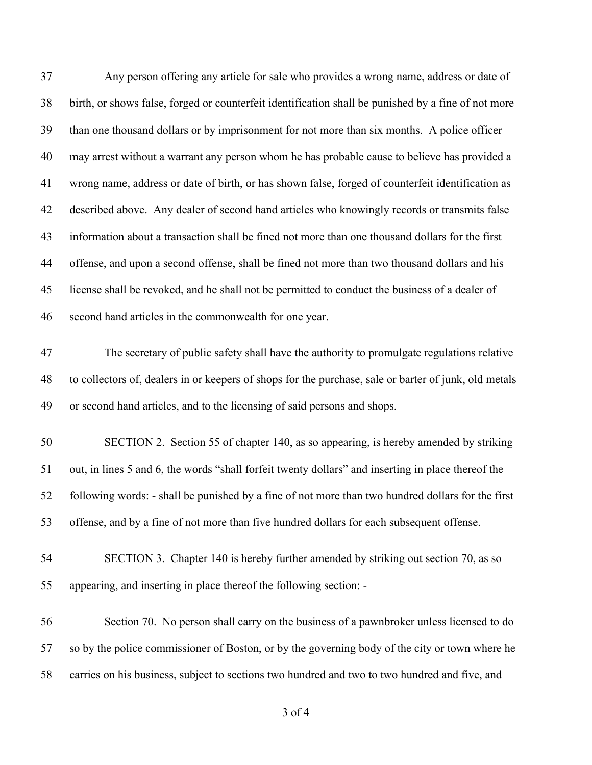| 37 | Any person offering any article for sale who provides a wrong name, address or date of                |
|----|-------------------------------------------------------------------------------------------------------|
| 38 | birth, or shows false, forged or counterfeit identification shall be punished by a fine of not more   |
| 39 | than one thousand dollars or by imprisonment for not more than six months. A police officer           |
| 40 | may arrest without a warrant any person whom he has probable cause to believe has provided a          |
| 41 | wrong name, address or date of birth, or has shown false, forged of counterfeit identification as     |
| 42 | described above. Any dealer of second hand articles who knowingly records or transmits false          |
| 43 | information about a transaction shall be fined not more than one thousand dollars for the first       |
| 44 | offense, and upon a second offense, shall be fined not more than two thousand dollars and his         |
| 45 | license shall be revoked, and he shall not be permitted to conduct the business of a dealer of        |
| 46 | second hand articles in the commonwealth for one year.                                                |
| 47 | The secretary of public safety shall have the authority to promulgate regulations relative            |
| 48 | to collectors of, dealers in or keepers of shops for the purchase, sale or barter of junk, old metals |
| 49 | or second hand articles, and to the licensing of said persons and shops.                              |
| 50 | SECTION 2. Section 55 of chapter 140, as so appearing, is hereby amended by striking                  |
| 51 | out, in lines 5 and 6, the words "shall forfeit twenty dollars" and inserting in place thereof the    |
| 52 | following words: - shall be punished by a fine of not more than two hundred dollars for the first     |
| 53 | offense, and by a fine of not more than five hundred dollars for each subsequent offense.             |
| 54 | SECTION 3. Chapter 140 is hereby further amended by striking out section 70, as so                    |
| 55 | appearing, and inserting in place thereof the following section: -                                    |
| 56 | Section 70. No person shall carry on the business of a pawnbroker unless licensed to do               |
| 57 | so by the police commissioner of Boston, or by the governing body of the city or town where he        |
| 58 | carries on his business, subject to sections two hundred and two to two hundred and five, and         |

of 4